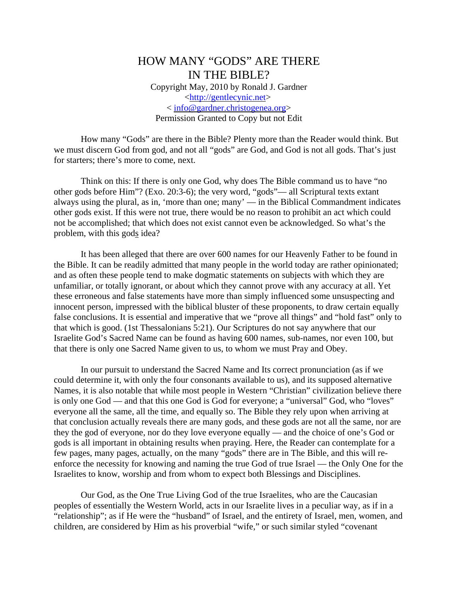## HOW MANY "GODS" ARE THERE IN THE BIBLE? Copyright May, 2010 by Ronald J. Gardner <http://gentlecynic.net> < info@gardner.christogenea.org> Permission Granted to Copy but not Edit

How many "Gods" are there in the Bible? Plenty more than the Reader would think. But we must discern God from god, and not all "gods" are God, and God is not all gods. That's just for starters; there's more to come, next.

Think on this: If there is only one God, why does The Bible command us to have "no other gods before Him"? (Exo. 20:3-6); the very word, "gods"— all Scriptural texts extant always using the plural, as in, 'more than one; many' — in the Biblical Commandment indicates other gods exist. If this were not true, there would be no reason to prohibit an act which could not be accomplished; that which does not exist cannot even be acknowledged. So what's the problem, with this gods idea?

It has been alleged that there are over 600 names for our Heavenly Father to be found in the Bible. It can be readily admitted that many people in the world today are rather opinionated; and as often these people tend to make dogmatic statements on subjects with which they are unfamiliar, or totally ignorant, or about which they cannot prove with any accuracy at all. Yet these erroneous and false statements have more than simply influenced some unsuspecting and innocent person, impressed with the biblical bluster of these proponents, to draw certain equally false conclusions. It is essential and imperative that we "prove all things" and "hold fast" only to that which is good. (1st Thessalonians 5:21). Our Scriptures do not say anywhere that our Israelite God's Sacred Name can be found as having 600 names, sub-names, nor even 100, but that there is only one Sacred Name given to us, to whom we must Pray and Obey.

In our pursuit to understand the Sacred Name and Its correct pronunciation (as if we could determine it, with only the four consonants available to us), and its supposed alternative Names, it is also notable that while most people in Western "Christian" civilization believe there is only one God — and that this one God is God for everyone; a "universal" God, who "loves" everyone all the same, all the time, and equally so. The Bible they rely upon when arriving at that conclusion actually reveals there are many gods, and these gods are not all the same, nor are they the god of everyone, nor do they love everyone equally — and the choice of one's God or gods is all important in obtaining results when praying. Here, the Reader can contemplate for a few pages, many pages, actually, on the many "gods" there are in The Bible, and this will reenforce the necessity for knowing and naming the true God of true Israel — the Only One for the Israelites to know, worship and from whom to expect both Blessings and Disciplines.

Our God, as the One True Living God of the true Israelites, who are the Caucasian peoples of essentially the Western World, acts in our Israelite lives in a peculiar way, as if in a "relationship"; as if He were the "husband" of Israel, and the entirety of Israel, men, women, and children, are considered by Him as his proverbial "wife," or such similar styled "covenant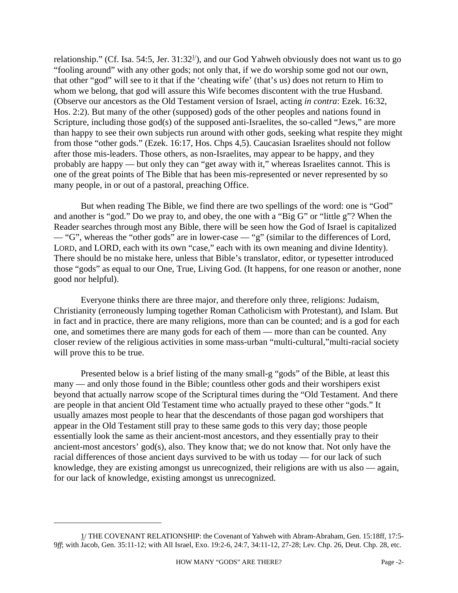relationship." (Cf. Isa. 54:5, Jer. 31:32<sup>1</sup>), and our God Yahweh obviously does not want us to go "fooling around" with any other gods; not only that, if we do worship some god not our own, that other "god" will see to it that if the 'cheating wife' (that's us) does not return to Him to whom we belong, that god will assure this Wife becomes discontent with the true Husband. (Observe our ancestors as the Old Testament version of Israel, acting *in contra*: Ezek. 16:32, Hos. 2:2). But many of the other (supposed) gods of the other peoples and nations found in Scripture, including those god(s) of the supposed anti-Israelites, the so-called "Jews," are more than happy to see their own subjects run around with other gods, seeking what respite they might from those "other gods." (Ezek. 16:17, Hos. Chps 4,5). Caucasian Israelites should not follow after those mis-leaders. Those others, as non-Israelites, may appear to be happy, and they probably are happy — but only they can "get away with it," whereas Israelites cannot. This is one of the great points of The Bible that has been mis-represented or never represented by so many people, in or out of a pastoral, preaching Office.

But when reading The Bible, we find there are two spellings of the word: one is "God" and another is "god." Do we pray to, and obey, the one with a "Big G" or "little g"? When the Reader searches through most any Bible, there will be seen how the God of Israel is capitalized — "G", whereas the "other gods" are in lower-case — "g" (similar to the differences of Lord, LORD, and LORD, each with its own "case," each with its own meaning and divine Identity). There should be no mistake here, unless that Bible's translator, editor, or typesetter introduced those "gods" as equal to our One, True, Living God. (It happens, for one reason or another, none good nor helpful).

Everyone thinks there are three major, and therefore only three, religions: Judaism, Christianity (erroneously lumping together Roman Catholicism with Protestant), and Islam. But in fact and in practice, there are many religions, more than can be counted; and is a god for each one, and sometimes there are many gods for each of them — more than can be counted. Any closer review of the religious activities in some mass-urban "multi-cultural,"multi-racial society will prove this to be true.

Presented below is a brief listing of the many small-g "gods" of the Bible, at least this many — and only those found in the Bible; countless other gods and their worshipers exist beyond that actually narrow scope of the Scriptural times during the "Old Testament. And there are people in that ancient Old Testament time who actually prayed to these other "gods." It usually amazes most people to hear that the descendants of those pagan god worshipers that appear in the Old Testament still pray to these same gods to this very day; those people essentially look the same as their ancient-most ancestors, and they essentially pray to their ancient-most ancestors' god(s), also. They know that; we do not know that. Not only have the racial differences of those ancient days survived to be with us today — for our lack of such knowledge, they are existing amongst us unrecognized, their religions are with us also — again, for our lack of knowledge, existing amongst us unrecognized.

<sup>1/</sup> THE COVENANT RELATIONSHIP: the Covenant of Yahweh with Abram-Abraham, Gen. 15:18ff, 17:5- 9*ff*; with Jacob, Gen. 35:11-12; with All Israel, Exo. 19:2-6, 24:7, 34:11-12, 27-28; Lev. Chp. 26, Deut. Chp. 28, etc.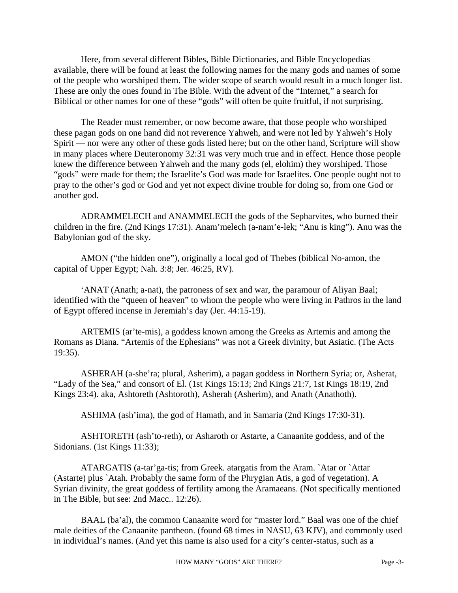Here, from several different Bibles, Bible Dictionaries, and Bible Encyclopedias available, there will be found at least the following names for the many gods and names of some of the people who worshiped them. The wider scope of search would result in a much longer list. These are only the ones found in The Bible. With the advent of the "Internet," a search for Biblical or other names for one of these "gods" will often be quite fruitful, if not surprising.

The Reader must remember, or now become aware, that those people who worshiped these pagan gods on one hand did not reverence Yahweh, and were not led by Yahweh's Holy Spirit — nor were any other of these gods listed here; but on the other hand, Scripture will show in many places where Deuteronomy 32:31 was very much true and in effect. Hence those people knew the difference between Yahweh and the many gods (el, elohim) they worshiped. Those "gods" were made for them; the Israelite's God was made for Israelites. One people ought not to pray to the other's god or God and yet not expect divine trouble for doing so, from one God or another god.

ADRAMMELECH and ANAMMELECH the gods of the Sepharvites, who burned their children in the fire. (2nd Kings 17:31). Anam'melech (a-nam'e-lek; "Anu is king"). Anu was the Babylonian god of the sky.

AMON ("the hidden one"), originally a local god of Thebes (biblical No-amon, the capital of Upper Egypt; Nah. 3:8; Jer. 46:25, RV).

'ANAT (Anath; a-nat), the patroness of sex and war, the paramour of Aliyan Baal; identified with the "queen of heaven" to whom the people who were living in Pathros in the land of Egypt offered incense in Jeremiah's day (Jer. 44:15-19).

ARTEMIS (ar'te-mis), a goddess known among the Greeks as Artemis and among the Romans as Diana. "Artemis of the Ephesians" was not a Greek divinity, but Asiatic. (The Acts 19:35).

ASHERAH (a-she'ra; plural, Asherim), a pagan goddess in Northern Syria; or, Asherat, "Lady of the Sea," and consort of El. (1st Kings 15:13; 2nd Kings 21:7, 1st Kings 18:19, 2nd Kings 23:4). aka, Ashtoreth (Ashtoroth), Asherah (Asherim), and Anath (Anathoth).

ASHIMA (ash'ima), the god of Hamath, and in Samaria (2nd Kings 17:30-31).

ASHTORETH (ash'to-reth), or Asharoth or Astarte, a Canaanite goddess, and of the Sidonians. (1st Kings 11:33);

ATARGATIS (a-tar'ga-tis; from Greek. atargatis from the Aram. `Atar or `Attar (Astarte) plus `Atah. Probably the same form of the Phrygian Atis, a god of vegetation). A Syrian divinity, the great goddess of fertility among the Aramaeans. (Not specifically mentioned in The Bible, but see: 2nd Macc.. 12:26).

BAAL (ba'al), the common Canaanite word for "master lord." Baal was one of the chief male deities of the Canaanite pantheon. (found 68 times in NASU, 63 KJV), and commonly used in individual's names. (And yet this name is also used for a city's center-status, such as a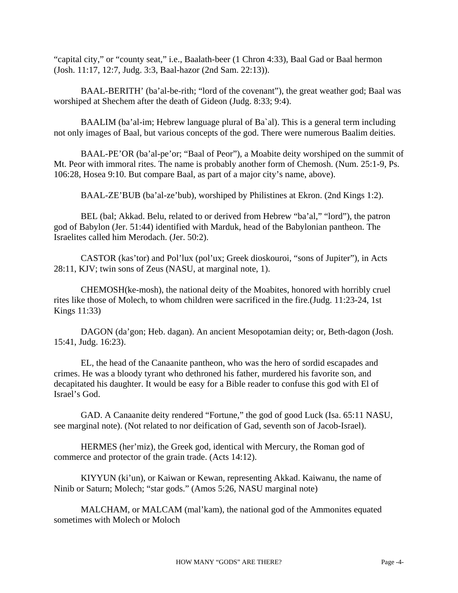"capital city," or "county seat," i.e., Baalath-beer (1 Chron 4:33), Baal Gad or Baal hermon (Josh. 11:17, 12:7, Judg. 3:3, Baal-hazor (2nd Sam. 22:13)).

BAAL-BERITH' (ba'al-be-rith; "lord of the covenant"), the great weather god; Baal was worshiped at Shechem after the death of Gideon (Judg. 8:33; 9:4).

BAALIM (ba'al-im; Hebrew language plural of Ba`al). This is a general term including not only images of Baal, but various concepts of the god. There were numerous Baalim deities.

BAAL-PE'OR (ba'al-pe'or; "Baal of Peor"), a Moabite deity worshiped on the summit of Mt. Peor with immoral rites. The name is probably another form of Chemosh. (Num. 25:1-9, Ps. 106:28, Hosea 9:10. But compare Baal, as part of a major city's name, above).

BAAL-ZE'BUB (ba'al-ze'bub), worshiped by Philistines at Ekron. (2nd Kings 1:2).

BEL (bal; Akkad. Belu, related to or derived from Hebrew "ba'al," "lord"), the patron god of Babylon (Jer. 51:44) identified with Marduk, head of the Babylonian pantheon. The Israelites called him Merodach. (Jer. 50:2).

CASTOR (kas'tor) and Pol'lux (pol'ux; Greek dioskouroi, "sons of Jupiter"), in Acts 28:11, KJV; twin sons of Zeus (NASU, at marginal note, 1).

CHEMOSH(ke-mosh), the national deity of the Moabites, honored with horribly cruel rites like those of Molech, to whom children were sacrificed in the fire.(Judg. 11:23-24, 1st Kings 11:33)

DAGON (da'gon; Heb. dagan). An ancient Mesopotamian deity; or, Beth-dagon (Josh. 15:41, Judg. 16:23).

EL, the head of the Canaanite pantheon, who was the hero of sordid escapades and crimes. He was a bloody tyrant who dethroned his father, murdered his favorite son, and decapitated his daughter. It would be easy for a Bible reader to confuse this god with El of Israel's God.

GAD. A Canaanite deity rendered "Fortune," the god of good Luck (Isa. 65:11 NASU, see marginal note). (Not related to nor deification of Gad, seventh son of Jacob-Israel).

HERMES (her'miz), the Greek god, identical with Mercury, the Roman god of commerce and protector of the grain trade. (Acts 14:12).

KIYYUN (ki'un), or Kaiwan or Kewan, representing Akkad. Kaiwanu, the name of Ninib or Saturn; Molech; "star gods." (Amos 5:26, NASU marginal note)

MALCHAM, or MALCAM (mal'kam), the national god of the Ammonites equated sometimes with Molech or Moloch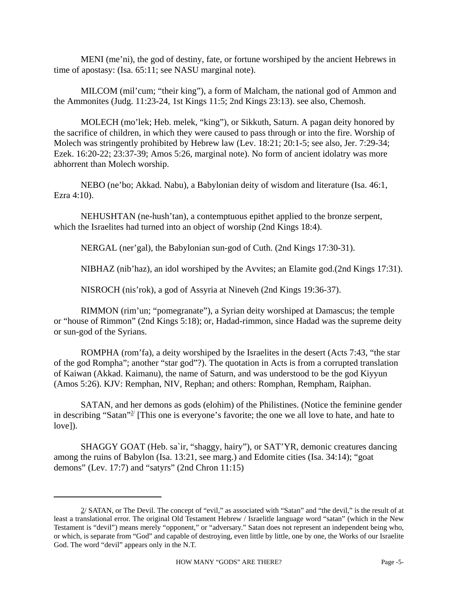MENI (me'ni), the god of destiny, fate, or fortune worshiped by the ancient Hebrews in time of apostasy: (Isa. 65:11; see NASU marginal note).

MILCOM (mil'cum; "their king"), a form of Malcham, the national god of Ammon and the Ammonites (Judg. 11:23-24, 1st Kings 11:5; 2nd Kings 23:13). see also, Chemosh.

MOLECH (mo'lek; Heb. melek, "king"), or Sikkuth, Saturn. A pagan deity honored by the sacrifice of children, in which they were caused to pass through or into the fire. Worship of Molech was stringently prohibited by Hebrew law (Lev. 18:21; 20:1-5; see also, Jer. 7:29-34; Ezek. 16:20-22; 23:37-39; Amos 5:26, marginal note). No form of ancient idolatry was more abhorrent than Molech worship.

NEBO (ne'bo; Akkad. Nabu), a Babylonian deity of wisdom and literature (Isa. 46:1, Ezra 4:10).

NEHUSHTAN (ne-hush'tan), a contemptuous epithet applied to the bronze serpent, which the Israelites had turned into an object of worship (2nd Kings 18:4).

NERGAL (ner'gal), the Babylonian sun-god of Cuth. (2nd Kings 17:30-31).

NIBHAZ (nib'haz), an idol worshiped by the Avvites; an Elamite god.(2nd Kings 17:31).

NISROCH (nis'rok), a god of Assyria at Nineveh (2nd Kings 19:36-37).

RIMMON (rim'un; "pomegranate"), a Syrian deity worshiped at Damascus; the temple or "house of Rimmon" (2nd Kings 5:18); or, Hadad-rimmon, since Hadad was the supreme deity or sun-god of the Syrians.

ROMPHA (rom'fa), a deity worshiped by the Israelites in the desert (Acts 7:43, "the star of the god Rompha"; another "star god"?). The quotation in Acts is from a corrupted translation of Kaiwan (Akkad. Kaimanu), the name of Saturn, and was understood to be the god Kiyyun (Amos 5:26). KJV: Remphan, NIV, Rephan; and others: Romphan, Rempham, Raiphan.

SATAN, and her demons as gods (elohim) of the Philistines. (Notice the feminine gender in describing "Satan"<sup>2'</sup> [This one is everyone's favorite; the one we all love to hate, and hate to love]).

SHAGGY GOAT (Heb. sa`ir, "shaggy, hairy"), or SAT'YR, demonic creatures dancing among the ruins of Babylon (Isa. 13:21, see marg.) and Edomite cities (Isa. 34:14); "goat demons" (Lev. 17:7) and "satyrs" (2nd Chron 11:15)

<sup>2/</sup> SATAN, or The Devil. The concept of "evil," as associated with "Satan" and "the devil," is the result of at least a translational error. The original Old Testament Hebrew / Israelitle language word "satan" (which in the New Testament is "devil") means merely "opponent," or "adversary." Satan does not represent an independent being who, or which, is separate from "God" and capable of destroying, even little by little, one by one, the Works of our Israelite God. The word "devil" appears only in the N.T.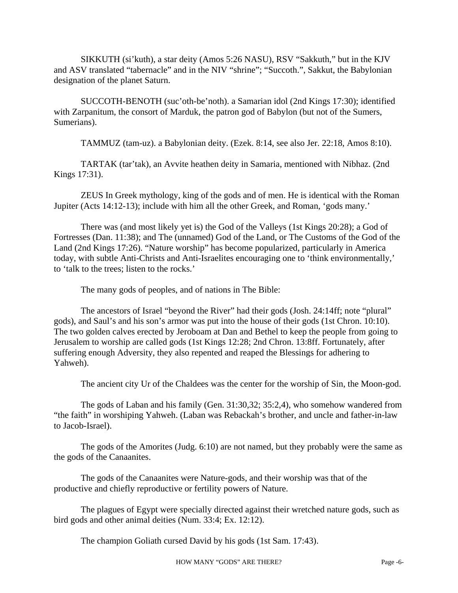SIKKUTH (si'kuth), a star deity (Amos 5:26 NASU), RSV "Sakkuth," but in the KJV and ASV translated "tabernacle" and in the NIV "shrine"; "Succoth.", Sakkut, the Babylonian designation of the planet Saturn.

SUCCOTH-BENOTH (suc'oth-be'noth). a Samarian idol (2nd Kings 17:30); identified with Zarpanitum, the consort of Marduk, the patron god of Babylon (but not of the Sumers, Sumerians).

TAMMUZ (tam-uz). a Babylonian deity. (Ezek. 8:14, see also Jer. 22:18, Amos 8:10).

TARTAK (tar'tak), an Avvite heathen deity in Samaria, mentioned with Nibhaz. (2nd Kings 17:31).

ZEUS In Greek mythology, king of the gods and of men. He is identical with the Roman Jupiter (Acts 14:12-13); include with him all the other Greek, and Roman, 'gods many.'

There was (and most likely yet is) the God of the Valleys (1st Kings 20:28); a God of Fortresses (Dan. 11:38); and The (unnamed) God of the Land, or The Customs of the God of the Land (2nd Kings 17:26). "Nature worship" has become popularized, particularly in America today, with subtle Anti-Christs and Anti-Israelites encouraging one to 'think environmentally,' to 'talk to the trees; listen to the rocks.'

The many gods of peoples, and of nations in The Bible:

The ancestors of Israel "beyond the River" had their gods (Josh. 24:14ff; note "plural" gods), and Saul's and his son's armor was put into the house of their gods (1st Chron. 10:10). The two golden calves erected by Jeroboam at Dan and Bethel to keep the people from going to Jerusalem to worship are called gods (1st Kings 12:28; 2nd Chron. 13:8ff. Fortunately, after suffering enough Adversity, they also repented and reaped the Blessings for adhering to Yahweh).

The ancient city Ur of the Chaldees was the center for the worship of Sin, the Moon-god.

The gods of Laban and his family (Gen. 31:30,32; 35:2,4), who somehow wandered from "the faith" in worshiping Yahweh. (Laban was Rebackah's brother, and uncle and father-in-law to Jacob-Israel).

The gods of the Amorites (Judg. 6:10) are not named, but they probably were the same as the gods of the Canaanites.

The gods of the Canaanites were Nature-gods, and their worship was that of the productive and chiefly reproductive or fertility powers of Nature.

The plagues of Egypt were specially directed against their wretched nature gods, such as bird gods and other animal deities (Num. 33:4; Ex. 12:12).

The champion Goliath cursed David by his gods (1st Sam. 17:43).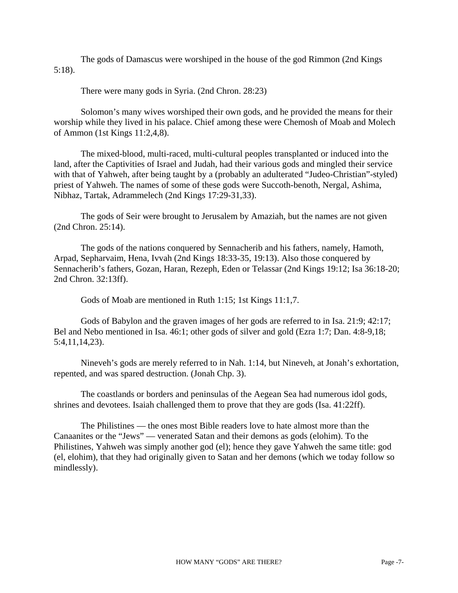The gods of Damascus were worshiped in the house of the god Rimmon (2nd Kings 5:18).

There were many gods in Syria. (2nd Chron. 28:23)

Solomon's many wives worshiped their own gods, and he provided the means for their worship while they lived in his palace. Chief among these were Chemosh of Moab and Molech of Ammon (1st Kings 11:2,4,8).

The mixed-blood, multi-raced, multi-cultural peoples transplanted or induced into the land, after the Captivities of Israel and Judah, had their various gods and mingled their service with that of Yahweh, after being taught by a (probably an adulterated "Judeo-Christian"-styled) priest of Yahweh. The names of some of these gods were Succoth-benoth, Nergal, Ashima, Nibhaz, Tartak, Adrammelech (2nd Kings 17:29-31,33).

The gods of Seir were brought to Jerusalem by Amaziah, but the names are not given (2nd Chron. 25:14).

The gods of the nations conquered by Sennacherib and his fathers, namely, Hamoth, Arpad, Sepharvaim, Hena, Ivvah (2nd Kings 18:33-35, 19:13). Also those conquered by Sennacherib's fathers, Gozan, Haran, Rezeph, Eden or Telassar (2nd Kings 19:12; Isa 36:18-20; 2nd Chron. 32:13ff).

Gods of Moab are mentioned in Ruth 1:15; 1st Kings 11:1,7.

Gods of Babylon and the graven images of her gods are referred to in Isa. 21:9; 42:17; Bel and Nebo mentioned in Isa. 46:1; other gods of silver and gold (Ezra 1:7; Dan. 4:8-9,18; 5:4,11,14,23).

Nineveh's gods are merely referred to in Nah. 1:14, but Nineveh, at Jonah's exhortation, repented, and was spared destruction. (Jonah Chp. 3).

The coastlands or borders and peninsulas of the Aegean Sea had numerous idol gods, shrines and devotees. Isaiah challenged them to prove that they are gods (Isa. 41:22ff).

The Philistines — the ones most Bible readers love to hate almost more than the Canaanites or the "Jews" — venerated Satan and their demons as gods (elohim). To the Philistines, Yahweh was simply another god (el); hence they gave Yahweh the same title: god (el, elohim), that they had originally given to Satan and her demons (which we today follow so mindlessly).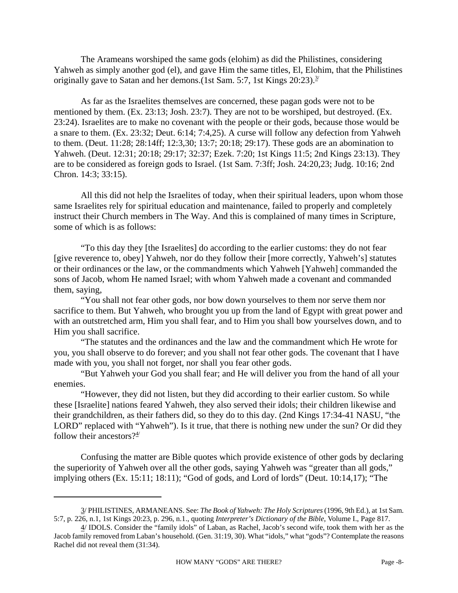The Arameans worshiped the same gods (elohim) as did the Philistines, considering Yahweh as simply another god (el), and gave Him the same titles, El, Elohim, that the Philistines originally gave to Satan and her demons. (1st Sam. 5:7, 1st Kings  $20:23$ ).<sup>3/</sup>

As far as the Israelites themselves are concerned, these pagan gods were not to be mentioned by them. (Ex. 23:13; Josh. 23:7). They are not to be worshiped, but destroyed. (Ex. 23:24). Israelites are to make no covenant with the people or their gods, because those would be a snare to them. (Ex. 23:32; Deut. 6:14; 7:4,25). A curse will follow any defection from Yahweh to them. (Deut. 11:28; 28:14ff; 12:3,30; 13:7; 20:18; 29:17). These gods are an abomination to Yahweh. (Deut. 12:31; 20:18; 29:17; 32:37; Ezek. 7:20; 1st Kings 11:5; 2nd Kings 23:13). They are to be considered as foreign gods to Israel. (1st Sam. 7:3ff; Josh. 24:20,23; Judg. 10:16; 2nd Chron. 14:3; 33:15).

All this did not help the Israelites of today, when their spiritual leaders, upon whom those same Israelites rely for spiritual education and maintenance, failed to properly and completely instruct their Church members in The Way. And this is complained of many times in Scripture, some of which is as follows:

"To this day they [the Israelites] do according to the earlier customs: they do not fear [give reverence to, obey] Yahweh, nor do they follow their [more correctly, Yahweh's] statutes or their ordinances or the law, or the commandments which Yahweh [Yahweh] commanded the sons of Jacob, whom He named Israel; with whom Yahweh made a covenant and commanded them, saying,

"You shall not fear other gods, nor bow down yourselves to them nor serve them nor sacrifice to them. But Yahweh, who brought you up from the land of Egypt with great power and with an outstretched arm, Him you shall fear, and to Him you shall bow yourselves down, and to Him you shall sacrifice.

"The statutes and the ordinances and the law and the commandment which He wrote for you, you shall observe to do forever; and you shall not fear other gods. The covenant that I have made with you, you shall not forget, nor shall you fear other gods.

"But Yahweh your God you shall fear; and He will deliver you from the hand of all your enemies.

"However, they did not listen, but they did according to their earlier custom. So while these [Israelite] nations feared Yahweh, they also served their idols; their children likewise and their grandchildren, as their fathers did, so they do to this day. (2nd Kings 17:34-41 NASU, "the LORD" replaced with "Yahweh"). Is it true, that there is nothing new under the sun? Or did they follow their ancestors? $4/4$ 

Confusing the matter are Bible quotes which provide existence of other gods by declaring the superiority of Yahweh over all the other gods, saying Yahweh was "greater than all gods," implying others (Ex. 15:11; 18:11); "God of gods, and Lord of lords" (Deut. 10:14,17); "The

<sup>3/</sup> PHILISTINES, ARMANEANS. See: *The Book of Yahweh: The Holy Scriptures* (1996, 9th Ed.), at 1st Sam. 5:7, p. 226, n.1, 1st Kings 20:23, p. 296, n.1., quoting *Interpreter's Dictionary of the Bible*, Volume I., Page 817.

<sup>4/</sup> IDOLS. Consider the "family idols" of Laban, as Rachel, Jacob's second wife, took them with her as the Jacob family removed from Laban's household. (Gen. 31:19, 30). What "idols," what "gods"? Contemplate the reasons Rachel did not reveal them (31:34).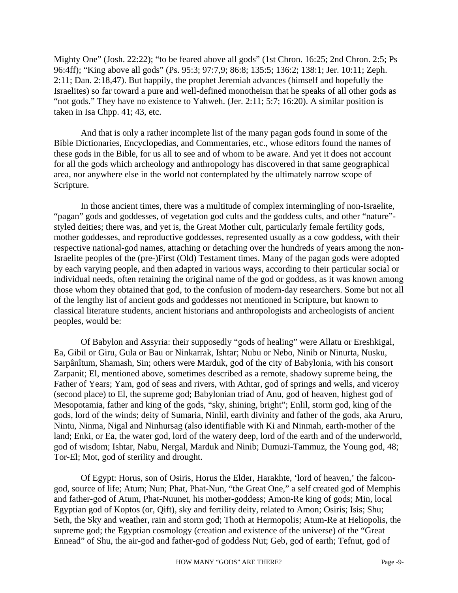Mighty One" (Josh. 22:22); "to be feared above all gods" (1st Chron. 16:25; 2nd Chron. 2:5; Ps 96:4ff); "King above all gods" (Ps. 95:3; 97:7,9; 86:8; 135:5; 136:2; 138:1; Jer. 10:11; Zeph. 2:11; Dan. 2:18,47). But happily, the prophet Jeremiah advances (himself and hopefully the Israelites) so far toward a pure and well-defined monotheism that he speaks of all other gods as "not gods." They have no existence to Yahweh. (Jer. 2:11; 5:7; 16:20). A similar position is taken in Isa Chpp. 41; 43, etc.

And that is only a rather incomplete list of the many pagan gods found in some of the Bible Dictionaries, Encyclopedias, and Commentaries, etc., whose editors found the names of these gods in the Bible, for us all to see and of whom to be aware. And yet it does not account for all the gods which archeology and anthropology has discovered in that same geographical area, nor anywhere else in the world not contemplated by the ultimately narrow scope of Scripture.

In those ancient times, there was a multitude of complex intermingling of non-Israelite, "pagan" gods and goddesses, of vegetation god cults and the goddess cults, and other "nature"styled deities; there was, and yet is, the Great Mother cult, particularly female fertility gods, mother goddesses, and reproductive goddesses, represented usually as a cow goddess, with their respective national-god names, attaching or detaching over the hundreds of years among the non-Israelite peoples of the (pre-)First (Old) Testament times. Many of the pagan gods were adopted by each varying people, and then adapted in various ways, according to their particular social or individual needs, often retaining the original name of the god or goddess, as it was known among those whom they obtained that god, to the confusion of modern-day researchers. Some but not all of the lengthy list of ancient gods and goddesses not mentioned in Scripture, but known to classical literature students, ancient historians and anthropologists and archeologists of ancient peoples, would be:

Of Babylon and Assyria: their supposedly "gods of healing" were Allatu or Ereshkigal, Ea, Gibil or Giru, Gula or Bau or Ninkarrak, Ishtar; Nubu or Nebo, Ninib or Ninurta, Nusku, Sarpânîtum, Shamash, Sin; others were Marduk, god of the city of Babylonia, with his consort Zarpanit; El, mentioned above, sometimes described as a remote, shadowy supreme being, the Father of Years; Yam, god of seas and rivers, with Athtar, god of springs and wells, and viceroy (second place) to El, the supreme god; Babylonian triad of Anu, god of heaven, highest god of Mesopotamia, father and king of the gods, "sky, shining, bright"; Enlil, storm god, king of the gods, lord of the winds; deity of Sumaria, Ninlil, earth divinity and father of the gods, aka Aruru, Nintu, Ninma, Nigal and Ninhursag (also identifiable with Ki and Ninmah, earth-mother of the land; Enki, or Ea, the water god, lord of the watery deep, lord of the earth and of the underworld, god of wisdom; Ishtar, Nabu, Nergal, Marduk and Ninib; Dumuzi-Tammuz, the Young god, 48; Tor-El; Mot, god of sterility and drought.

Of Egypt: Horus, son of Osiris, Horus the Elder, Harakhte, 'lord of heaven,' the falcongod, source of life; Atum; Nun; Phat, Phat-Nun, "the Great One," a self created god of Memphis and father-god of Atum, Phat-Nuunet, his mother-goddess; Amon-Re king of gods; Min, local Egyptian god of Koptos (or, Qift), sky and fertility deity, related to Amon; Osiris; Isis; Shu; Seth, the Sky and weather, rain and storm god; Thoth at Hermopolis; Atum-Re at Heliopolis, the supreme god; the Egyptian cosmology (creation and existence of the universe) of the "Great Ennead" of Shu, the air-god and father-god of goddess Nut; Geb, god of earth; Tefnut, god of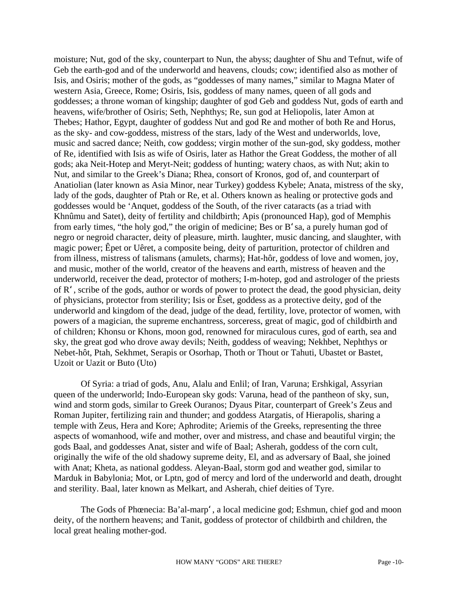moisture; Nut, god of the sky, counterpart to Nun, the abyss; daughter of Shu and Tefnut, wife of Geb the earth-god and of the underworld and heavens, clouds; cow; identified also as mother of Isis, and Osiris; mother of the gods, as "goddesses of many names," similar to Magna Mater of western Asia, Greece, Rome; Osiris, Isis, goddess of many names, queen of all gods and goddesses; a throne woman of kingship; daughter of god Geb and goddess Nut, gods of earth and heavens, wife/brother of Osiris; Seth, Nephthys; Re, sun god at Heliopolis, later Amon at Thebes; Hathor, Egypt, daughter of goddess Nut and god Re and mother of both Re and Horus, as the sky- and cow-goddess, mistress of the stars, lady of the West and underworlds, love, music and sacred dance; Neith, cow goddess; virgin mother of the sun-god, sky goddess, mother of Re, identified with Isis as wife of Osiris, later as Hathor the Great Goddess, the mother of all gods; aka Neit-Hotep and Meryt-Neit; goddess of hunting; watery chaos, as with Nut; akin to Nut, and similar to the Greek's Diana; Rhea, consort of Kronos, god of, and counterpart of Anatiolian (later known as Asia Minor, near Turkey) goddess Kybele; Anata, mistress of the sky, lady of the gods, daughter of Ptah or Re, et al. Others known as healing or protective gods and goddesses would be 'Anquet, goddess of the South, of the river cataracts (as a triad with Khnûmu and Satet), deity of fertility and childbirth; Apis (pronounced Hap), god of Memphis from early times, "the holy god," the origin of medicine; Bes or B'sa, a purely human god of negro or negroid character, deity of pleasure, mirth. laughter, music dancing, and slaughter, with magic power; Êpet or Uêret, a composite being, deity of parturition, protector of children and from illness, mistress of talismans (amulets, charms); Hat-hôr, goddess of love and women, joy, and music, mother of the world, creator of the heavens and earth, mistress of heaven and the underworld, receiver the dead, protector of mothers; I-m-hotep, god and astrologer of the priests of R', scribe of the gods, author or words of power to protect the dead, the good physician, deity of physicians, protector from sterility; Isis or Êset, goddess as a protective deity, god of the underworld and kingdom of the dead, judge of the dead, fertility, love, protector of women, with powers of a magician, the supreme enchantress, sorceress, great of magic, god of childbirth and of children; Khonsu or Khons, moon god, renowned for miraculous cures, god of earth, sea and sky, the great god who drove away devils; Neith, goddess of weaving; Nekhbet, Nephthys or Nebet-hôt, Ptah, Sekhmet, Serapis or Osorhap, Thoth or Thout or Tahuti, Ubastet or Bastet, Uzoit or Uazit or Buto (Uto)

Of Syria: a triad of gods, Anu, Alalu and Enlil; of Iran, Varuna; Ershkigal, Assyrian queen of the underworld; Indo-European sky gods: Varuna, head of the pantheon of sky, sun, wind and storm gods, similar to Greek Ouranos; Dyaus Pitar, counterpart of Greek's Zeus and Roman Jupiter, fertilizing rain and thunder; and goddess Atargatis, of Hierapolis, sharing a temple with Zeus, Hera and Kore; Aphrodite; Ariemis of the Greeks, representing the three aspects of womanhood, wife and mother, over and mistress, and chase and beautiful virgin; the gods Baal, and goddesses Anat, sister and wife of Baal; Asherah, goddess of the corn cult, originally the wife of the old shadowy supreme deity, El, and as adversary of Baal, she joined with Anat; Kheta, as national goddess. Aleyan-Baal, storm god and weather god, similar to Marduk in Babylonia; Mot, or Lptn, god of mercy and lord of the underworld and death, drought and sterility. Baal, later known as Melkart, and Asherah, chief deities of Tyre.

The Gods of Phœnecia: Ba'al-marp', a local medicine god; Eshmun, chief god and moon deity, of the northern heavens; and Tanit, goddess of protector of childbirth and children, the local great healing mother-god.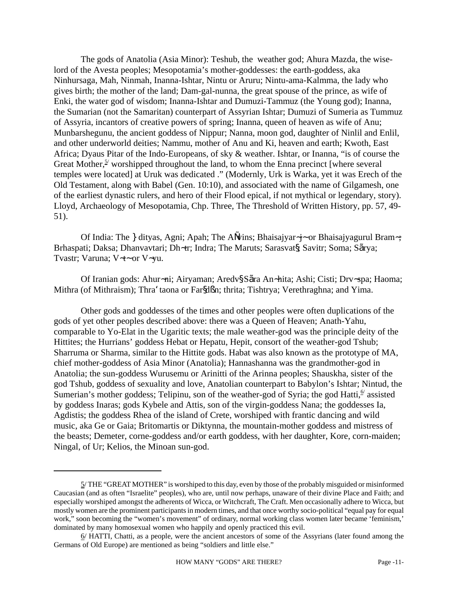The gods of Anatolia (Asia Minor): Teshub, the weather god; Ahura Mazda, the wiselord of the Avesta peoples; Mesopotamia's mother-goddesses: the earth-goddess, aka Ninhursaga, Mah, Ninmah, Inanna-Ishtar, Nintu or Aruru; Nintu-ama-Kalmma, the lady who gives birth; the mother of the land; Dam-gal-nunna, the great spouse of the prince, as wife of Enki, the water god of wisdom; Inanna-Ishtar and Dumuzi-Tammuz (the Young god); Inanna, the Sumarian (not the Samaritan) counterpart of Assyrian Ishtar; Dumuzi of Sumeria as Tummuz of Assyria, incantors of creative powers of spring; Inanna, queen of heaven as wife of Anu; Munbarshegunu, the ancient goddess of Nippur; Nanna, moon god, daughter of Ninlil and Enlil, and other underworld deities; Nammu, mother of Anu and Ki, heaven and earth; Kwoth, East Africa; Dyaus Pitar of the Indo-Europeans, of sky & weather. Ishtar, or Inanna, "is of course the Great Mother, $5/$  worshipped throughout the land, to whom the Enna precinct [where several temples were located] at Uruk was dedicated ." (Modernly, Urk is Warka, yet it was Erech of the Old Testament, along with Babel (Gen. 10:10), and associated with the name of Gilgamesh, one of the earliest dynastic rulers, and hero of their Flood epical, if not mythical or legendary, story). Lloyd, Archaeology of Mesopotamia, Chp. Three, The Threshold of Written History, pp. 57, 49- 51).

Of India: The *I* dityas, Agni; Apah; The A $\tilde{\mathbf{N}}$ ins; Bhaisajyar $\dot{\mathbf{q}}$ ~ or Bhaisajyagurul Bram~; Brhaspati; Daksa; Dhanvavtari; Dh~tr; Indra; The Maruts; Sarasvat§ Savitr; Soma; Sãrya; Tvastr; Varuna; V $\prec$ -or V $\prec$ yu.

Of Iranian gods: Ahur~ni; Airyaman; Aredv§ Sãra An~hita; Ashi; Cisti; Drv~spa; Haoma; Mithra (of Mithraism); Thra<sup> $\epsilon$ </sup>taona or Far $\mathbf{S} \mathbf{R}$ ; thrita; Tishtrya; Verethraghna; and Yima.

Other gods and goddesses of the times and other peoples were often duplications of the gods of yet other peoples described above: there was a Queen of Heaven; Anath-Yahu, comparable to Yo-Elat in the Ugaritic texts; the male weather-god was the principle deity of the Hittites; the Hurrians' goddess Hebat or Hepatu, Hepit, consort of the weather-god Tshub; Sharruma or Sharma, similar to the Hittite gods. Habat was also known as the prototype of MA, chief mother-goddess of Asia Minor (Anatolia); Hannashanna was the grandmother-god in Anatolia; the sun-goddess Wurusemu or Arinitti of the Arinna peoples; Shauskha, sister of the god Tshub, goddess of sexuality and love, Anatolian counterpart to Babylon's Ishtar; Nintud, the Sumerian's mother goddess; Telipinu, son of the weather-god of Syria; the god Hatti, <sup>6</sup> assisted by goddess Inaras; gods Kybele and Attis, son of the virgin-goddess Nana; the goddesses Ia, Agdistis; the goddess Rhea of the island of Crete, worshiped with frantic dancing and wild music, aka Ge or Gaia; Britomartis or Diktynna, the mountain-mother goddess and mistress of the beasts; Demeter, corne-goddess and/or earth goddess, with her daughter, Kore, corn-maiden; Ningal, of Ur; Kelios, the Minoan sun-god.

<sup>5/</sup> THE "GREAT MOTHER" is worshiped to this day, even by those of the probably misguided or misinformed Caucasian (and as often "Israelite" peoples), who are, until now perhaps, unaware of their divine Place and Faith; and especially worshiped amongst the adherents of Wicca, or Witchcraft, The Craft. Men occasionally adhere to Wicca, but mostly women are the prominent participants in modern times, and that once worthy socio-political "equal pay for equal work," soon becoming the "women's movement" of ordinary, normal working class women later became 'feminism,' dominated by many homosexual women who happily and openly practiced this evil.

<sup>6/</sup> HATTI, Chatti, as a people, were the ancient ancestors of some of the Assyrians (later found among the Germans of Old Europe) are mentioned as being "soldiers and little else."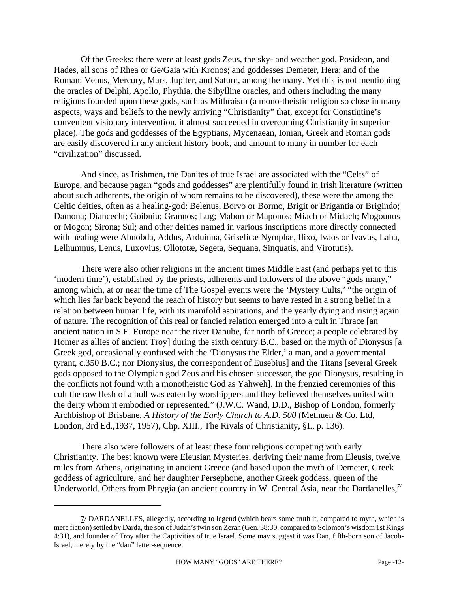Of the Greeks: there were at least gods Zeus, the sky- and weather god, Posideon, and Hades, all sons of Rhea or Ge/Gaia with Kronos; and goddesses Demeter, Hera; and of the Roman: Venus, Mercury, Mars, Jupiter, and Saturn, among the many. Yet this is not mentioning the oracles of Delphi, Apollo, Phythia, the Sibylline oracles, and others including the many religions founded upon these gods, such as Mithraism (a mono-theistic religion so close in many aspects, ways and beliefs to the newly arriving "Christianity" that, except for Constintine's convenient visionary intervention, it almost succeeded in overcoming Christianity in superior place). The gods and goddesses of the Egyptians, Mycenaean, Ionian, Greek and Roman gods are easily discovered in any ancient history book, and amount to many in number for each "civilization" discussed.

And since, as Irishmen, the Danites of true Israel are associated with the "Celts" of Europe, and because pagan "gods and goddesses" are plentifully found in Irish literature (written about such adherents, the origin of whom remains to be discovered), these were the among the Celtic deities, often as a healing-god: Belenus, Borvo or Bormo, Brigit or Brigantia or Brigindo; Damona; Díancecht; Goibniu; Grannos; Lug; Mabon or Maponos; Miach or Midach; Mogounos or Mogon; Sirona; Sul; and other deities named in various inscriptions more directly connected with healing were Abnobda, Addus, Arduinna, Griselicæ Nymphæ, Ilixo, Ivaos or Ivavus, Laha, Lelhumnus, Lenus, Luxovius, Ollototæ, Segeta, Sequana, Sinquatis, and Virotutis).

There were also other religions in the ancient times Middle East (and perhaps yet to this 'modern time'), established by the priests, adherents and followers of the above "gods many," among which, at or near the time of The Gospel events were the 'Mystery Cults,' "the origin of which lies far back beyond the reach of history but seems to have rested in a strong belief in a relation between human life, with its manifold aspirations, and the yearly dying and rising again of nature. The recognition of this real or fancied relation emerged into a cult in Thrace [an ancient nation in S.E. Europe near the river Danube, far north of Greece; a people celebrated by Homer as allies of ancient Troy] during the sixth century B.C., based on the myth of Dionysus [a Greek god, occasionally confused with the 'Dionysus the Elder,' a man, and a governmental tyrant, c.350 B.C.; nor Dionysius, the correspondent of Eusebius] and the Titans [several Greek gods opposed to the Olympian god Zeus and his chosen successor, the god Dionysus, resulting in the conflicts not found with a monotheistic God as Yahweh]. In the frenzied ceremonies of this cult the raw flesh of a bull was eaten by worshippers and they believed themselves united with the deity whom it embodied or represented." (J.W.C. Wand, D.D., Bishop of London, formerly Archbishop of Brisbane, *A History of the Early Church to A.D. 500* (Methuen & Co. Ltd, London, 3rd Ed.,1937, 1957), Chp. XIII., The Rivals of Christianity, §I., p. 136).

There also were followers of at least these four religions competing with early Christianity. The best known were Eleusian Mysteries, deriving their name from Eleusis, twelve miles from Athens, originating in ancient Greece (and based upon the myth of Demeter, Greek goddess of agriculture, and her daughter Persephone, another Greek goddess, queen of the Underworld. Others from Phrygia (an ancient country in W. Central Asia, near the Dardanelles,  $\frac{1}{2}$ 

<sup>7/</sup> DARDANELLES, allegedly, according to legend (which bears some truth it, compared to myth, which is mere fiction) settled by Darda, the son of Judah's twin son Zerah (Gen. 38:30, compared to Solomon's wisdom 1st Kings 4:31), and founder of Troy after the Captivities of true Israel. Some may suggest it was Dan, fifth-born son of Jacob-Israel, merely by the "dan" letter-sequence.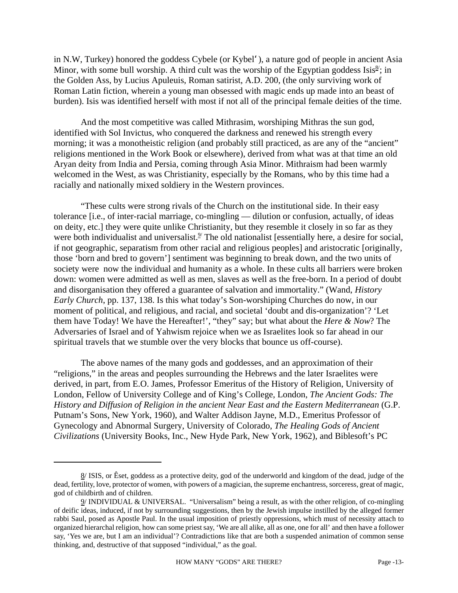in N.W, Turkey) honored the goddess Cybele (or Kybel'), a nature god of people in ancient Asia Minor, with some bull worship. A third cult was the worship of the Egyptian goddess Isis $\frac{8}{5}$ ; in the Golden Ass, by Lucius Apuleuis, Roman satirist, A.D. 200, (the only surviving work of Roman Latin fiction, wherein a young man obsessed with magic ends up made into an beast of burden). Isis was identified herself with most if not all of the principal female deities of the time.

And the most competitive was called Mithrasim, worshiping Mithras the sun god, identified with Sol Invictus, who conquered the darkness and renewed his strength every morning; it was a monotheistic religion (and probably still practiced, as are any of the "ancient" religions mentioned in the Work Book or elsewhere), derived from what was at that time an old Aryan deity from India and Persia, coming through Asia Minor. Mithraism had been warmly welcomed in the West, as was Christianity, especially by the Romans, who by this time had a racially and nationally mixed soldiery in the Western provinces.

"These cults were strong rivals of the Church on the institutional side. In their easy tolerance [i.e., of inter-racial marriage, co-mingling — dilution or confusion, actually, of ideas on deity, etc.] they were quite unlike Christianity, but they resemble it closely in so far as they were both individualist and universalist. $9/$  The old nationalist [essentially here, a desire for social, if not geographic, separatism from other racial and religious peoples] and aristocratic [originally, those 'born and bred to govern'] sentiment was beginning to break down, and the two units of society were now the individual and humanity as a whole. In these cults all barriers were broken down: women were admitted as well as men, slaves as well as the free-born. In a period of doubt and disorganisation they offered a guarantee of salvation and immortality." (Wand, *History Early Church*, pp. 137, 138. Is this what today's Son-worshiping Churches do now, in our moment of political, and religious, and racial, and societal 'doubt and dis-organization'? 'Let them have Today! We have the Hereafter!', "they" say; but what about the *Here & Now*? The Adversaries of Israel and of Yahwism rejoice when we as Israelites look so far ahead in our spiritual travels that we stumble over the very blocks that bounce us off-course).

The above names of the many gods and goddesses, and an approximation of their "religions," in the areas and peoples surrounding the Hebrews and the later Israelites were derived, in part, from E.O. James, Professor Emeritus of the History of Religion, University of London, Fellow of University College and of King's College, London, *The Ancient Gods: The History and Diffusion of Religion in the ancient Near East and the Eastern Mediterranean* (G.P. Putnam's Sons, New York, 1960), and Walter Addison Jayne, M.D., Emeritus Professor of Gynecology and Abnormal Surgery, University of Colorado, *The Healing Gods of Ancient Civilizations* (University Books, Inc., New Hyde Park, New York, 1962), and Biblesoft's PC

<sup>8/</sup> ISIS, or Êset, goddess as a protective deity, god of the underworld and kingdom of the dead, judge of the dead, fertility, love, protector of women, with powers of a magician, the supreme enchantress, sorceress, great of magic, god of childbirth and of children.

<sup>9/</sup> INDIVIDUAL & UNIVERSAL. "Universalism" being a result, as with the other religion, of co-mingling of deific ideas, induced, if not by surrounding suggestions, then by the Jewish impulse instilled by the alleged former rabbi Saul, posed as Apostle Paul. In the usual imposition of priestly oppressions, which must of necessity attach to organized hierarchal religion, how can some priest say, 'We are all alike, all as one, one for all' and then have a follower say, 'Yes we are, but I am an individual'? Contradictions like that are both a suspended animation of common sense thinking, and, destructive of that supposed "individual," as the goal.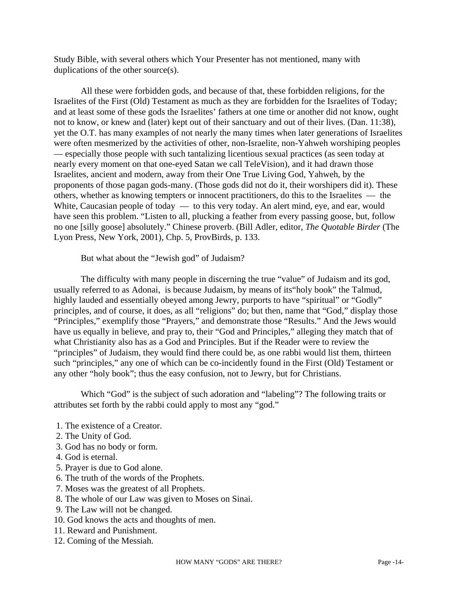Study Bible, with several others which Your Presenter has not mentioned, many with duplications of the other source(s).

All these were forbidden gods, and because of that, these forbidden religions, for the Israelites of the First (Old) Testament as much as they are forbidden for the Israelites of Today; and at least some of these gods the Israelites' fathers at one time or another did not know, ought not to know, or knew and (later) kept out of their sanctuary and out of their lives. (Dan. 11:38), yet the O.T. has many examples of not nearly the many times when later generations of Israelites were often mesmerized by the activities of other, non-Israelite, non-Yahweh worshiping peoples — especially those people with such tantalizing licentious sexual practices (as seen today at nearly every moment on that one-eyed Satan we call TeleVision), and it had drawn those Israelites, ancient and modern, away from their One True Living God, Yahweh, by the proponents of those pagan gods-many. (Those gods did not do it, their worshipers did it). These others, whether as knowing tempters or innocent practitioners, do this to the Israelites — the White, Caucasian people of today — to this very today. An alert mind, eye, and ear, would have seen this problem. "Listen to all, plucking a feather from every passing goose, but, follow no one [silly goose] absolutely." Chinese proverb. (Bill Adler, editor, *The Quotable Birder* (The Lyon Press, New York, 2001), Chp. 5, ProvBirds, p. 133.

But what about the "Jewish god" of Judaism?

The difficulty with many people in discerning the true "value" of Judaism and its god, usually referred to as Adonai, is because Judaism, by means of its"holy book" the Talmud, highly lauded and essentially obeyed among Jewry, purports to have "spiritual" or "Godly" principles, and of course, it does, as all "religions" do; but then, name that "God," display those "Principles," exemplify those "Prayers," and demonstrate those "Results." And the Jews would have us equally in believe, and pray to, their "God and Principles," alleging they match that of what Christianity also has as a God and Principles. But if the Reader were to review the "principles" of Judaism, they would find there could be, as one rabbi would list them, thirteen such "principles," any one of which can be co-incidently found in the First (Old) Testament or any other "holy book"; thus the easy confusion, not to Jewry, but for Christians.

Which "God" is the subject of such adoration and "labeling"? The following traits or attributes set forth by the rabbi could apply to most any "god."

- 1. The existence of a Creator.
- 2. The Unity of God.
- 3. God has no body or form.
- 4. God is eternal.
- 5. Prayer is due to God alone.
- 6. The truth of the words of the Prophets.
- 7. Moses was the greatest of all Prophets.
- 8. The whole of our Law was given to Moses on Sinai.
- 9. The Law will not be changed.
- 10. God knows the acts and thoughts of men.
- 11. Reward and Punishment.
- 12. Coming of the Messiah.